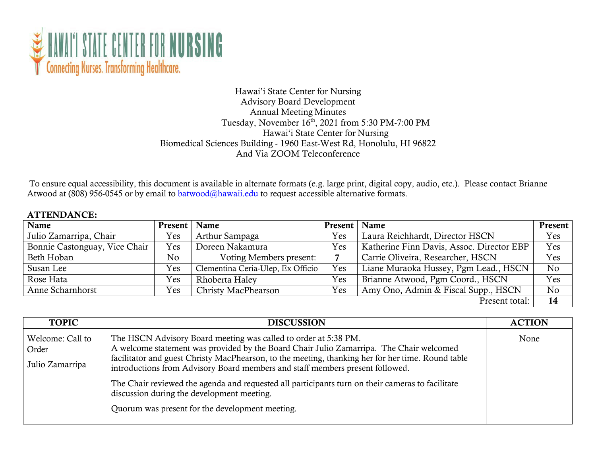

## Hawai'i State Center for Nursing Advisory Board Development Annual Meeting Minutes Tuesday, November 16<sup>th</sup>, 2021 from 5:30 PM-7:00 PM Hawai'i State Center for Nursing Biomedical Sciences Building - 1960 East-West Rd, Honolulu, HI 96822 And Via ZOOM Teleconference

To ensure equal accessibility, this document is available in alternate formats (e.g. large print, digital copy, audio, etc.). Please contact Brianne Atwood at (808) 956-0545 or by email to [batwood@hawaii.edu t](mailto:batwood@hawaii.edu)o request accessible alternative formats.

## ATTENDANCE:

| Name                          | Present   Name |                                   | Present   Name |                                           | <b>Present</b> |
|-------------------------------|----------------|-----------------------------------|----------------|-------------------------------------------|----------------|
| Julio Zamarripa, Chair        | Yes            | Arthur Sampaga                    | <b>Yes</b>     | Laura Reichhardt, Director HSCN           | Yes            |
| Bonnie Castonguay, Vice Chair | Yes            | Doreen Nakamura                   | Yes            | Katherine Finn Davis, Assoc. Director EBP | Yes            |
| Beth Hoban                    | No             | Voting Members present:           |                | Carrie Oliveira, Researcher, HSCN         | Yes            |
| Susan Lee                     | Yes            | Clementina Ceria-Ulep, Ex Officio | Yes            | Liane Muraoka Hussey, Pgm Lead., HSCN     | No             |
| Rose Hata                     | Yes            | Rhoberta Haley                    | Yes            | Brianne Atwood, Pgm Coord., HSCN          | Yes            |
| Anne Scharnhorst              | Yes            | Christy MacPhearson               | Yes            | Amy Ono, Admin & Fiscal Supp., HSCN       | N <sub>o</sub> |
|                               |                |                                   |                | Present total:                            | 14             |

| <b>TOPIC</b>                                 | <b>DISCUSSION</b>                                                                                                                                                                                                                                                                                                                                                                                                                                                                                                                                     | <b>ACTION</b> |
|----------------------------------------------|-------------------------------------------------------------------------------------------------------------------------------------------------------------------------------------------------------------------------------------------------------------------------------------------------------------------------------------------------------------------------------------------------------------------------------------------------------------------------------------------------------------------------------------------------------|---------------|
| Welcome: Call to<br>Order<br>Julio Zamarripa | The HSCN Advisory Board meeting was called to order at 5:38 PM.<br>A welcome statement was provided by the Board Chair Julio Zamarripa. The Chair welcomed<br>facilitator and guest Christy MacPhearson, to the meeting, thanking her for her time. Round table<br>introductions from Advisory Board members and staff members present followed.<br>The Chair reviewed the agenda and requested all participants turn on their cameras to facilitate<br>discussion during the development meeting.<br>Quorum was present for the development meeting. | None          |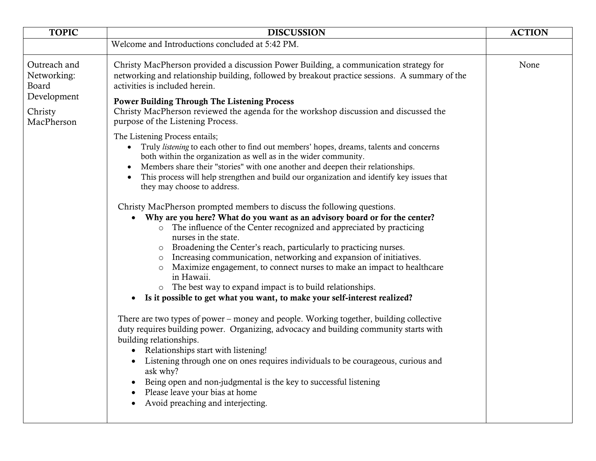| <b>TOPIC</b>                                                                 | <b>DISCUSSION</b>                                                                                                                                                                                                                                                                                                                                                                                                                                                                                                                                                                                                                                                                                                                                                                                                                                                                                                                                                                                                                                                                                                                                                                                                                                                                                                                                                                                                                                                                                                                                                                                                                                                                                                                                                                                                                                                                                                                                                                                             | <b>ACTION</b> |
|------------------------------------------------------------------------------|---------------------------------------------------------------------------------------------------------------------------------------------------------------------------------------------------------------------------------------------------------------------------------------------------------------------------------------------------------------------------------------------------------------------------------------------------------------------------------------------------------------------------------------------------------------------------------------------------------------------------------------------------------------------------------------------------------------------------------------------------------------------------------------------------------------------------------------------------------------------------------------------------------------------------------------------------------------------------------------------------------------------------------------------------------------------------------------------------------------------------------------------------------------------------------------------------------------------------------------------------------------------------------------------------------------------------------------------------------------------------------------------------------------------------------------------------------------------------------------------------------------------------------------------------------------------------------------------------------------------------------------------------------------------------------------------------------------------------------------------------------------------------------------------------------------------------------------------------------------------------------------------------------------------------------------------------------------------------------------------------------------|---------------|
|                                                                              | Welcome and Introductions concluded at 5:42 PM.                                                                                                                                                                                                                                                                                                                                                                                                                                                                                                                                                                                                                                                                                                                                                                                                                                                                                                                                                                                                                                                                                                                                                                                                                                                                                                                                                                                                                                                                                                                                                                                                                                                                                                                                                                                                                                                                                                                                                               |               |
| Outreach and<br>Networking:<br>Board<br>Development<br>Christy<br>MacPherson | Christy MacPherson provided a discussion Power Building, a communication strategy for<br>networking and relationship building, followed by breakout practice sessions. A summary of the<br>activities is included herein.<br><b>Power Building Through The Listening Process</b><br>Christy MacPherson reviewed the agenda for the workshop discussion and discussed the<br>purpose of the Listening Process.<br>The Listening Process entails;<br>Truly <i>listening</i> to each other to find out members' hopes, dreams, talents and concerns<br>$\bullet$<br>both within the organization as well as in the wider community.<br>Members share their "stories" with one another and deepen their relationships.<br>This process will help strengthen and build our organization and identify key issues that<br>they may choose to address.<br>Christy MacPherson prompted members to discuss the following questions.<br>Why are you here? What do you want as an advisory board or for the center?<br>o The influence of the Center recognized and appreciated by practicing<br>nurses in the state.<br>Broadening the Center's reach, particularly to practicing nurses.<br>$\circ$<br>Increasing communication, networking and expansion of initiatives.<br>$\circ$<br>Maximize engagement, to connect nurses to make an impact to healthcare<br>in Hawaii.<br>o The best way to expand impact is to build relationships.<br>Is it possible to get what you want, to make your self-interest realized?<br>There are two types of power – money and people. Working together, building collective<br>duty requires building power. Organizing, advocacy and building community starts with<br>building relationships.<br>Relationships start with listening!<br>Listening through one on ones requires individuals to be courageous, curious and<br>ask why?<br>Being open and non-judgmental is the key to successful listening<br>Please leave your bias at home<br>Avoid preaching and interjecting. | None          |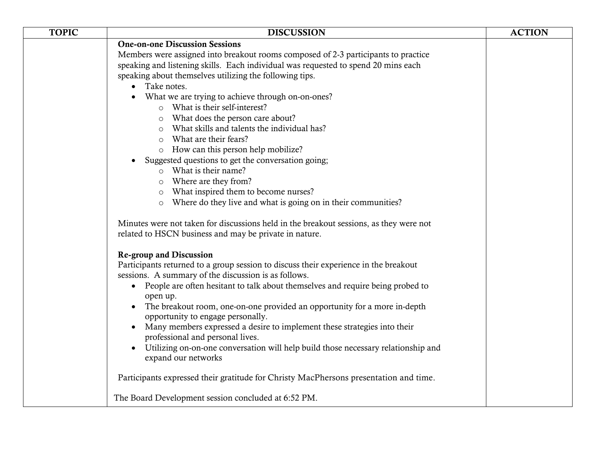| <b>TOPIC</b> | <b>DISCUSSION</b>                                                                      | <b>ACTION</b> |
|--------------|----------------------------------------------------------------------------------------|---------------|
|              | <b>One-on-one Discussion Sessions</b>                                                  |               |
|              | Members were assigned into breakout rooms composed of 2-3 participants to practice     |               |
|              | speaking and listening skills. Each individual was requested to spend 20 mins each     |               |
|              | speaking about themselves utilizing the following tips.                                |               |
|              | Take notes.                                                                            |               |
|              | What we are trying to achieve through on-on-ones?                                      |               |
|              | o What is their self-interest?                                                         |               |
|              | What does the person care about?<br>$\circ$                                            |               |
|              | What skills and talents the individual has?<br>$\circ$                                 |               |
|              | What are their fears?<br>$\circ$                                                       |               |
|              | o How can this person help mobilize?                                                   |               |
|              | Suggested questions to get the conversation going;                                     |               |
|              | $\circ$ What is their name?                                                            |               |
|              | Where are they from?<br>$\circ$                                                        |               |
|              | What inspired them to become nurses?<br>$\circ$                                        |               |
|              | Where do they live and what is going on in their communities?                          |               |
|              | Minutes were not taken for discussions held in the breakout sessions, as they were not |               |
|              | related to HSCN business and may be private in nature.                                 |               |
|              |                                                                                        |               |
|              | <b>Re-group and Discussion</b>                                                         |               |
|              | Participants returned to a group session to discuss their experience in the breakout   |               |
|              | sessions. A summary of the discussion is as follows.                                   |               |
|              | • People are often hesitant to talk about themselves and require being probed to       |               |
|              | open up.                                                                               |               |
|              | The breakout room, one-on-one provided an opportunity for a more in-depth              |               |
|              | opportunity to engage personally.                                                      |               |
|              | Many members expressed a desire to implement these strategies into their               |               |
|              | professional and personal lives.                                                       |               |
|              | Utilizing on-on-one conversation will help build those necessary relationship and      |               |
|              | expand our networks                                                                    |               |
|              | Participants expressed their gratitude for Christy MacPhersons presentation and time.  |               |
|              |                                                                                        |               |
|              | The Board Development session concluded at 6:52 PM.                                    |               |
|              |                                                                                        |               |